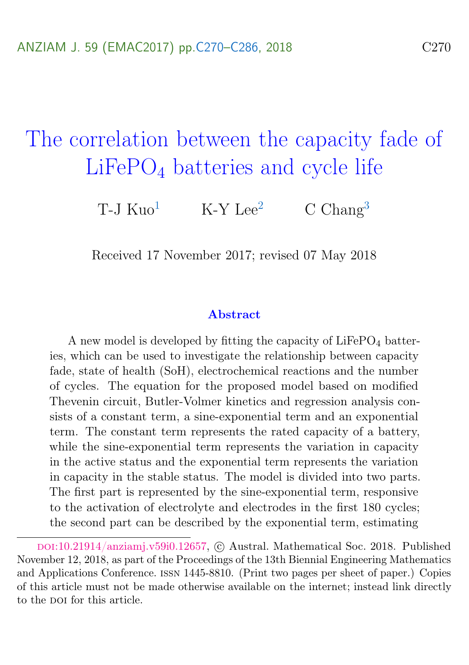# <span id="page-0-0"></span>The correlation between the capacity fade of LiFePO<sub>4</sub> batteries and cycle life

T-J  $Ku0^1$  $Ku0^1$  K-Y Lee<sup>[2](#page-15-2)</sup> C Chang<sup>[3](#page-15-0)</sup>

Received 17 November 2017; revised 07 May 2018

#### Abstract

A new model is developed by fitting the capacity of  $LiFePO<sub>4</sub>$  batteries, which can be used to investigate the relationship between capacity fade, state of health (SoH), electrochemical reactions and the number of cycles. The equation for the proposed model based on modified Thevenin circuit, Butler-Volmer kinetics and regression analysis consists of a constant term, a sine-exponential term and an exponential term. The constant term represents the rated capacity of a battery, while the sine-exponential term represents the variation in capacity in the active status and the exponential term represents the variation in capacity in the stable status. The model is divided into two parts. The first part is represented by the sine-exponential term, responsive to the activation of electrolyte and electrodes in the first 180 cycles; the second part can be described by the exponential term, estimating

DOI:[10.21914/anziamj.v59i0.12657,](https://doi.org/10.21914/anziamj.v59i0.12657) © Austral. Mathematical Soc. 2018. Published November 12, 2018, as part of the Proceedings of the 13th Biennial Engineering Mathematics and Applications Conference. issn 1445-8810. (Print two pages per sheet of paper.) Copies of this article must not be made otherwise available on the internet; instead link directly to the pot for this article.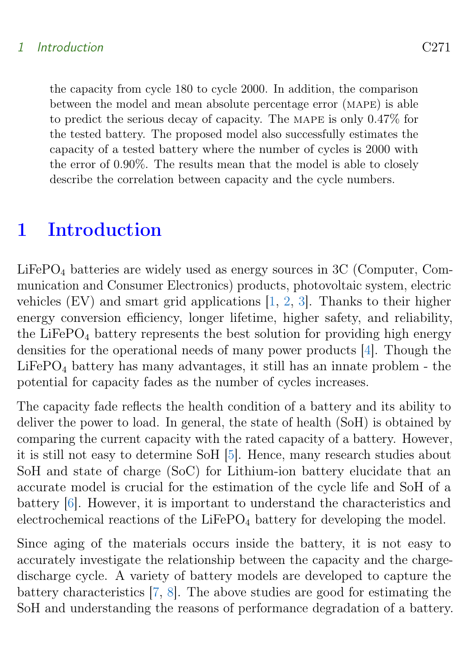#### <span id="page-1-0"></span>1 Introduction C271

the capacity from cycle 180 to cycle 2000. In addition, the comparison between the model and mean absolute percentage error (mape) is able to predict the serious decay of capacity. The mape is only 0.47% for the tested battery. The proposed model also successfully estimates the capacity of a tested battery where the number of cycles is 2000 with the error of 0.90%. The results mean that the model is able to closely describe the correlation between capacity and the cycle numbers.

## 1 Introduction

 $LiFePO<sub>4</sub>$  batteries are widely used as energy sources in 3C (Computer, Communication and Consumer Electronics) products, photovoltaic system, electric vehicles (EV) and smart grid applications [\[1,](#page-13-0) [2,](#page-13-1) [3\]](#page-13-2). Thanks to their higher energy conversion efficiency, longer lifetime, higher safety, and reliability, the LiFeP $O_4$  battery represents the best solution for providing high energy densities for the operational needs of many power products [\[4\]](#page-13-3). Though the  $LiFePO<sub>4</sub> battery has many advantages, it still has an innate problem - the$ potential for capacity fades as the number of cycles increases.

The capacity fade reflects the health condition of a battery and its ability to deliver the power to load. In general, the state of health (SoH) is obtained by comparing the current capacity with the rated capacity of a battery. However, it is still not easy to determine SoH [\[5\]](#page-13-4). Hence, many research studies about SoH and state of charge (SoC) for Lithium-ion battery elucidate that an accurate model is crucial for the estimation of the cycle life and SoH of a battery [\[6\]](#page-13-5). However, it is important to understand the characteristics and electrochemical reactions of the  $LiFePO<sub>4</sub>$  battery for developing the model.

Since aging of the materials occurs inside the battery, it is not easy to accurately investigate the relationship between the capacity and the chargedischarge cycle. A variety of battery models are developed to capture the battery characteristics [\[7,](#page-14-0) [8\]](#page-14-1). The above studies are good for estimating the SoH and understanding the reasons of performance degradation of a battery.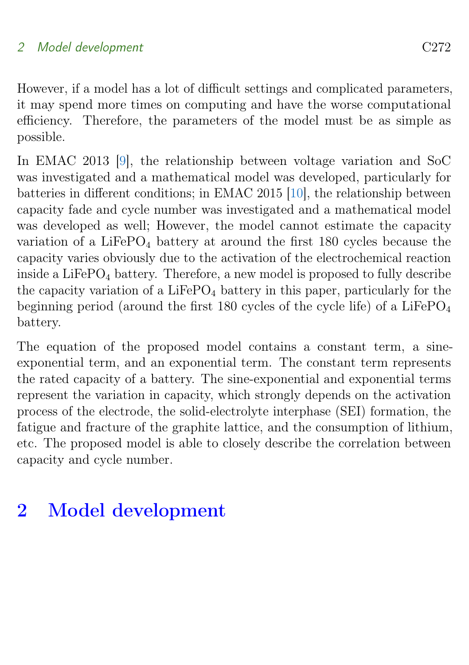<span id="page-2-0"></span>However, if a model has a lot of difficult settings and complicated parameters, it may spend more times on computing and have the worse computational efficiency. Therefore, the parameters of the model must be as simple as possible.

In EMAC 2013 [\[9\]](#page-14-2), the relationship between voltage variation and SoC was investigated and a mathematical model was developed, particularly for batteries in different conditions; in EMAC 2015 [\[10\]](#page-14-3), the relationship between capacity fade and cycle number was investigated and a mathematical model was developed as well; However, the model cannot estimate the capacity variation of a LiFeP $O_4$  battery at around the first 180 cycles because the capacity varies obviously due to the activation of the electrochemical reaction inside a LiFeP $O_4$  battery. Therefore, a new model is proposed to fully describe the capacity variation of a LiFePO<sub>4</sub> battery in this paper, particularly for the beginning period (around the first 180 cycles of the cycle life) of a  $LiFePO<sub>4</sub>$ battery.

The equation of the proposed model contains a constant term, a sineexponential term, and an exponential term. The constant term represents the rated capacity of a battery. The sine-exponential and exponential terms represent the variation in capacity, which strongly depends on the activation process of the electrode, the solid-electrolyte interphase (SEI) formation, the fatigue and fracture of the graphite lattice, and the consumption of lithium, etc. The proposed model is able to closely describe the correlation between capacity and cycle number.

# 2 Model development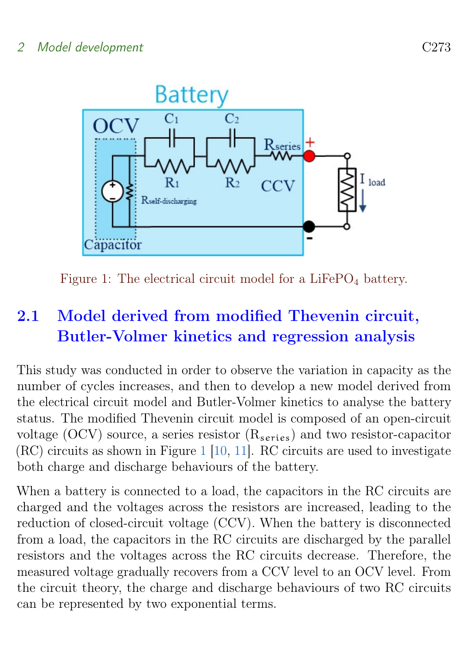<span id="page-3-1"></span>

<span id="page-3-0"></span>Figure 1: The electrical circuit model for a  $LiFePO<sub>4</sub>$  battery.

## 2.1 Model derived from modified Thevenin circuit, Butler-Volmer kinetics and regression analysis

This study was conducted in order to observe the variation in capacity as the number of cycles increases, and then to develop a new model derived from the electrical circuit model and Butler-Volmer kinetics to analyse the battery status. The modified Thevenin circuit model is composed of an open-circuit voltage (OCV) source, a series resistor  $(R_{series})$  and two resistor-capacitor (RC) circuits as shown in Figure [1](#page-3-0) [\[10,](#page-14-3) [11\]](#page-14-4). RC circuits are used to investigate both charge and discharge behaviours of the battery.

When a battery is connected to a load, the capacitors in the RC circuits are charged and the voltages across the resistors are increased, leading to the reduction of closed-circuit voltage (CCV). When the battery is disconnected from a load, the capacitors in the RC circuits are discharged by the parallel resistors and the voltages across the RC circuits decrease. Therefore, the measured voltage gradually recovers from a CCV level to an OCV level. From the circuit theory, the charge and discharge behaviours of two RC circuits can be represented by two exponential terms.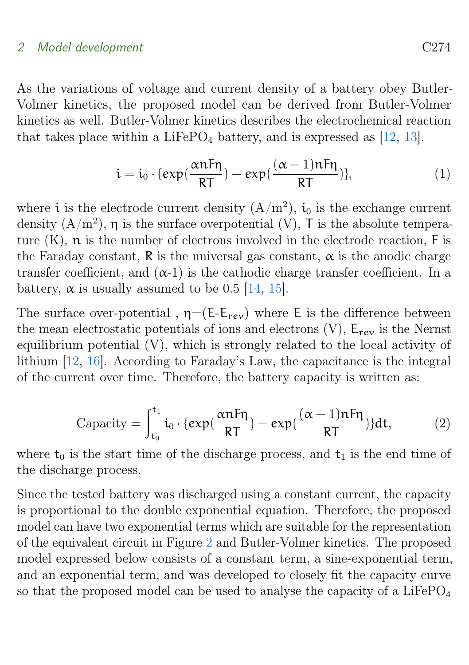<span id="page-4-0"></span>As the variations of voltage and current density of a battery obey Butler-Volmer kinetics, the proposed model can be derived from Butler-Volmer kinetics as well. Butler-Volmer kinetics describes the electrochemical reaction that takes place within a LiFePO<sub>4</sub> battery, and is expressed as  $[12, 13]$  $[12, 13]$  $[12, 13]$ .

$$
\dot{\mathbf{i}} = \dot{\mathbf{i}}_0 \cdot \{ \exp(\frac{\alpha n F \eta}{RT}) - \exp(\frac{(\alpha - 1)n F \eta}{RT}) \},\tag{1}
$$

where *i* is the electrode current density  $(A/m^2)$ , *i*<sub>0</sub> is the exchange current density  $(A/m^2)$ ,  $\eta$  is the surface overpotential (V), T is the absolute temperature  $(K)$ ,  $n$  is the number of electrons involved in the electrode reaction,  $F$  is the Faraday constant, R is the universal gas constant,  $\alpha$  is the anodic charge transfer coefficient, and  $(\alpha-1)$  is the cathodic charge transfer coefficient. In a battery,  $\alpha$  is usually assumed to be 0.5 [\[14,](#page-15-3) [15\]](#page-15-4).

The surface over-potential,  $\eta = (E-E_{rev})$  where E is the difference between the mean electrostatic potentials of ions and electrons  $(V)$ ,  $E_{rev}$  is the Nernst equilibrium potential (V), which is strongly related to the local activity of lithium [\[12,](#page-14-5) [16\]](#page-15-5). According to Faraday's Law, the capacitance is the integral of the current over time. Therefore, the battery capacity is written as:

$$
Capacity = \int_{t_0}^{t_1} i_0 \cdot \{ exp(\frac{\alpha nF\eta}{RT}) - exp(\frac{(\alpha - 1)nF\eta}{RT}) \} dt, \tag{2}
$$

where  $t_0$  is the start time of the discharge process, and  $t_1$  is the end time of the discharge process.

Since the tested battery was discharged using a constant current, the capacity is proportional to the double exponential equation. Therefore, the proposed model can have two exponential terms which are suitable for the representation of the equivalent circuit in Figure [2](#page-6-0) and Butler-Volmer kinetics. The proposed model expressed below consists of a constant term, a sine-exponential term, and an exponential term, and was developed to closely fit the capacity curve so that the proposed model can be used to analyse the capacity of a LiFePO<sub>4</sub>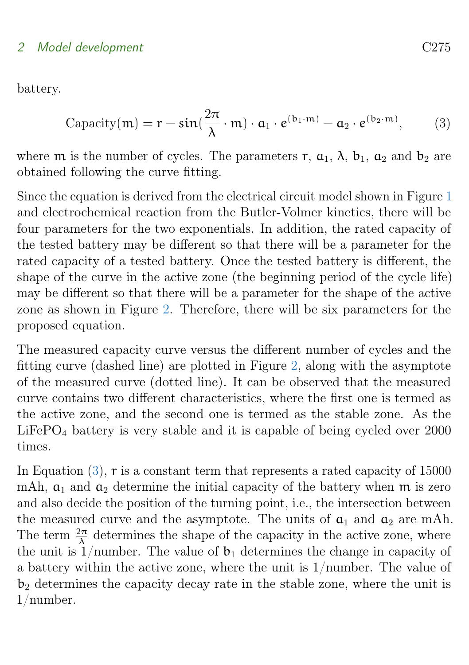battery.

<span id="page-5-0"></span>
$$
Capacity(m) = r - sin(\frac{2\pi}{\lambda} \cdot m) \cdot a_1 \cdot e^{(b_1 \cdot m)} - a_2 \cdot e^{(b_2 \cdot m)}, \qquad (3)
$$

where m is the number of cycles. The parameters r,  $a_1$ ,  $\lambda$ ,  $b_1$ ,  $a_2$  and  $b_2$  are obtained following the curve fitting.

Since the equation is derived from the electrical circuit model shown in Figure [1](#page-3-0) and electrochemical reaction from the Butler-Volmer kinetics, there will be four parameters for the two exponentials. In addition, the rated capacity of the tested battery may be different so that there will be a parameter for the rated capacity of a tested battery. Once the tested battery is different, the shape of the curve in the active zone (the beginning period of the cycle life) may be different so that there will be a parameter for the shape of the active zone as shown in Figure [2.](#page-6-0) Therefore, there will be six parameters for the proposed equation.

The measured capacity curve versus the different number of cycles and the fitting curve (dashed line) are plotted in Figure [2,](#page-6-0) along with the asymptote of the measured curve (dotted line). It can be observed that the measured curve contains two different characteristics, where the first one is termed as the active zone, and the second one is termed as the stable zone. As the  $LiFePO<sub>4</sub> battery$  is very stable and it is capable of being cycled over 2000 times.

In Equation [\(3\)](#page-5-0), r is a constant term that represents a rated capacity of 15000 mAh,  $a_1$  and  $a_2$  determine the initial capacity of the battery when m is zero and also decide the position of the turning point, i.e., the intersection between the measured curve and the asymptote. The units of  $a_1$  and  $a_2$  are mAh. The term  $\frac{2\pi}{\lambda}$  determines the shape of the capacity in the active zone, where the unit is 1/number. The value of  $b_1$  determines the change in capacity of a battery within the active zone, where the unit is 1/number. The value of  $b<sub>2</sub>$  determines the capacity decay rate in the stable zone, where the unit is 1/number.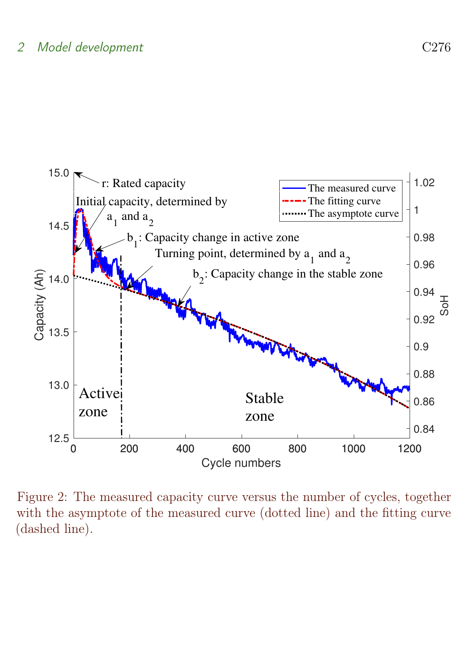

<span id="page-6-0"></span>Figure 2: The measured capacity curve versus the number of cycles, together with the asymptote of the measured curve (dotted line) and the fitting curve (dashed line).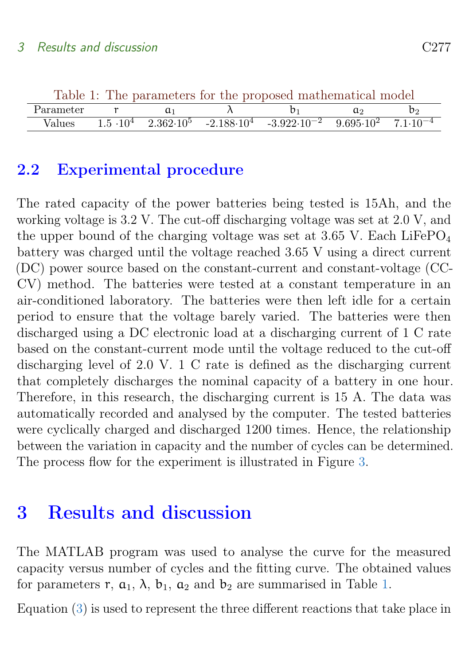<span id="page-7-0"></span>

| Table 1: The parameters for the proposed mathematical model |  |  |  |                                                                                                                       |    |              |  |
|-------------------------------------------------------------|--|--|--|-----------------------------------------------------------------------------------------------------------------------|----|--------------|--|
| Parameter                                                   |  |  |  |                                                                                                                       | a۰ | $b_{\Omega}$ |  |
| Values                                                      |  |  |  | $1.5 \cdot 10^4$ $2.362 \cdot 10^5$ $-2.188 \cdot 10^4$ $-3.922 \cdot 10^{-2}$ $9.695 \cdot 10^2$ $7.1 \cdot 10^{-4}$ |    |              |  |

## 2.2 Experimental procedure

The rated capacity of the power batteries being tested is 15Ah, and the working voltage is 3.2 V. The cut-off discharging voltage was set at 2.0 V, and the upper bound of the charging voltage was set at  $3.65$  V. Each LiFePO<sub>4</sub> battery was charged until the voltage reached 3.65 V using a direct current (DC) power source based on the constant-current and constant-voltage (CC-CV) method. The batteries were tested at a constant temperature in an air-conditioned laboratory. The batteries were then left idle for a certain period to ensure that the voltage barely varied. The batteries were then discharged using a DC electronic load at a discharging current of 1 C rate based on the constant-current mode until the voltage reduced to the cut-off discharging level of 2.0 V. 1 C rate is defined as the discharging current that completely discharges the nominal capacity of a battery in one hour. Therefore, in this research, the discharging current is 15 A. The data was automatically recorded and analysed by the computer. The tested batteries were cyclically charged and discharged 1200 times. Hence, the relationship between the variation in capacity and the number of cycles can be determined. The process flow for the experiment is illustrated in Figure [3.](#page-8-0)

## 3 Results and discussion

The MATLAB program was used to analyse the curve for the measured capacity versus number of cycles and the fitting curve. The obtained values for parameters r,  $a_1$ ,  $\lambda$ ,  $b_1$ ,  $a_2$  and  $b_2$  are summarised in Table [1.](#page-7-0)

Equation [\(3\)](#page-5-0) is used to represent the three different reactions that take place in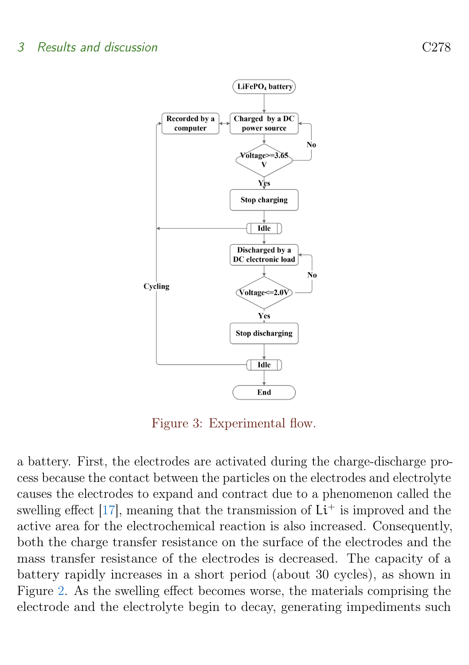### <span id="page-8-1"></span>3 Results and discussion C278



<span id="page-8-0"></span>Figure 3: Experimental flow.

a battery. First, the electrodes are activated during the charge-discharge process because the contact between the particles on the electrodes and electrolyte causes the electrodes to expand and contract due to a phenomenon called the swelling effect [\[17\]](#page-15-6), meaning that the transmission of  $Li<sup>+</sup>$  is improved and the active area for the electrochemical reaction is also increased. Consequently, both the charge transfer resistance on the surface of the electrodes and the mass transfer resistance of the electrodes is decreased. The capacity of a battery rapidly increases in a short period (about 30 cycles), as shown in Figure [2.](#page-6-0) As the swelling effect becomes worse, the materials comprising the electrode and the electrolyte begin to decay, generating impediments such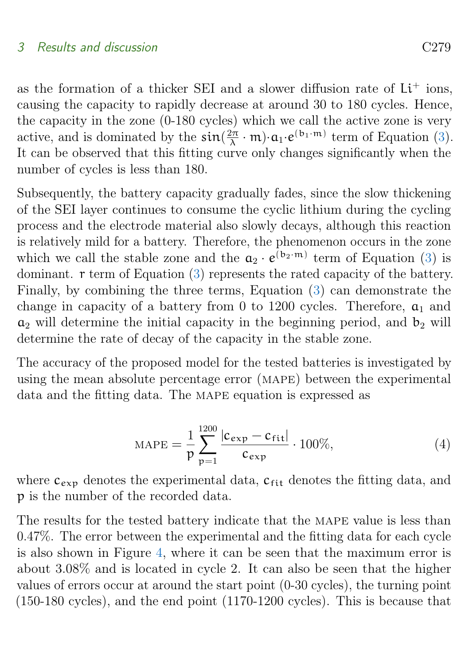#### 3 Results and discussion C279

as the formation of a thicker SEI and a slower diffusion rate of  $Li<sup>+</sup>$  ions, causing the capacity to rapidly decrease at around 30 to 180 cycles. Hence, the capacity in the zone (0-180 cycles) which we call the active zone is very active, and is dominated by the  $\sin(\frac{2\pi}{\lambda})$  $\frac{2\pi}{\lambda} \cdot m \cdot a_1 \cdot e^{(b_1 \cdot m)}$  term of Equation [\(3\)](#page-5-0). It can be observed that this fitting curve only changes significantly when the number of cycles is less than 180.

Subsequently, the battery capacity gradually fades, since the slow thickening of the SEI layer continues to consume the cyclic lithium during the cycling process and the electrode material also slowly decays, although this reaction is relatively mild for a battery. Therefore, the phenomenon occurs in the zone which we call the stable zone and the  $a_2 \cdot e^{(b_2 \cdot m)}$  term of Equation [\(3\)](#page-5-0) is dominant. r term of Equation [\(3\)](#page-5-0) represents the rated capacity of the battery. Finally, by combining the three terms, Equation [\(3\)](#page-5-0) can demonstrate the change in capacity of a battery from 0 to 1200 cycles. Therefore,  $a_1$  and  $a_2$  will determine the initial capacity in the beginning period, and  $b_2$  will determine the rate of decay of the capacity in the stable zone.

The accuracy of the proposed model for the tested batteries is investigated by using the mean absolute percentage error (mape) between the experimental data and the fitting data. The MAPE equation is expressed as

$$
MAPE = \frac{1}{p} \sum_{p=1}^{1200} \frac{|c_{exp} - c_{fit}|}{c_{exp}} \cdot 100\%,
$$
 (4)

where  $c_{\text{exp}}$  denotes the experimental data,  $c_{\text{fit}}$  denotes the fitting data, and p is the number of the recorded data.

The results for the tested battery indicate that the mape value is less than 0.47%. The error between the experimental and the fitting data for each cycle is also shown in Figure [4,](#page-11-0) where it can be seen that the maximum error is about 3.08% and is located in cycle 2. It can also be seen that the higher values of errors occur at around the start point (0-30 cycles), the turning point (150-180 cycles), and the end point (1170-1200 cycles). This is because that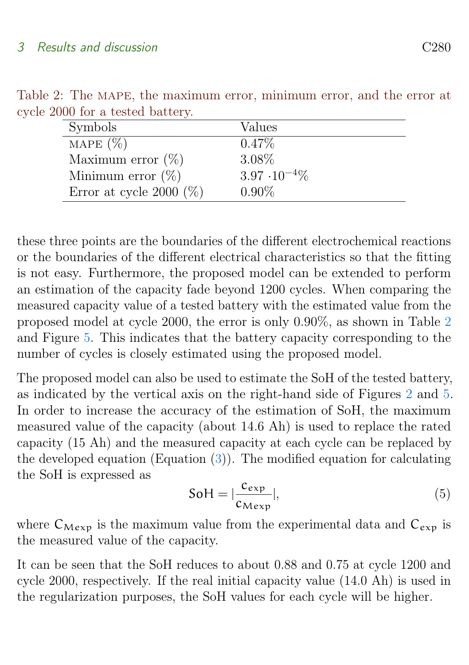<span id="page-10-0"></span>

| Symbols                    | Values                 |
|----------------------------|------------------------|
| MAPE $(\%)$                | $0.47\%$               |
| Maximum error $(\%)$       | 3.08%                  |
| Minimum error $(\%)$       | $3.97 \cdot 10^{-4}\%$ |
| Error at cycle 2000 $(\%)$ | $0.90\%$               |

Table 2: The MAPE, the maximum error, minimum error, and the error at cycle 2000 for a tested battery.

these three points are the boundaries of the different electrochemical reactions or the boundaries of the different electrical characteristics so that the fitting is not easy. Furthermore, the proposed model can be extended to perform an estimation of the capacity fade beyond 1200 cycles. When comparing the measured capacity value of a tested battery with the estimated value from the proposed model at cycle 2000, the error is only 0.90%, as shown in Table [2](#page-10-0) and Figure [5.](#page-12-0) This indicates that the battery capacity corresponding to the number of cycles is closely estimated using the proposed model.

The proposed model can also be used to estimate the SoH of the tested battery, as indicated by the vertical axis on the right-hand side of Figures [2](#page-6-0) and [5.](#page-12-0) In order to increase the accuracy of the estimation of SoH, the maximum measured value of the capacity (about 14.6 Ah) is used to replace the rated capacity (15 Ah) and the measured capacity at each cycle can be replaced by the developed equation (Equation  $(3)$ ). The modified equation for calculating the SoH is expressed as

$$
Sol = |\frac{c_{exp}}{c_{Mexp}}|,
$$
\n(5)

where  $C_{Mexp}$  is the maximum value from the experimental data and  $C_{exp}$  is the measured value of the capacity.

It can be seen that the SoH reduces to about 0.88 and 0.75 at cycle 1200 and cycle 2000, respectively. If the real initial capacity value (14.0 Ah) is used in the regularization purposes, the SoH values for each cycle will be higher.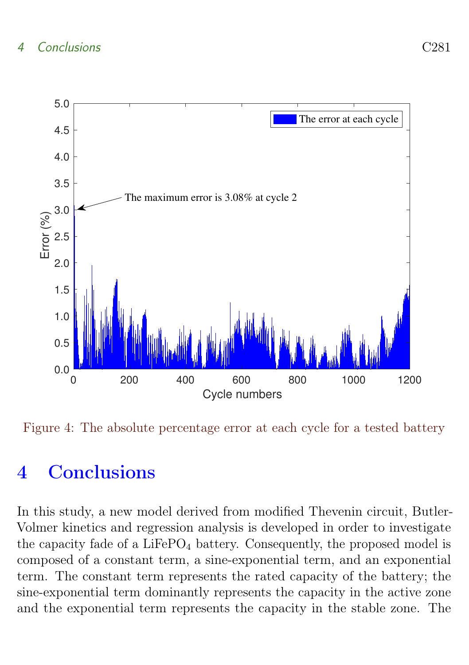

<span id="page-11-0"></span>Figure 4: The absolute percentage error at each cycle for a tested battery

# 4 Conclusions

In this study, a new model derived from modified Thevenin circuit, Butler-Volmer kinetics and regression analysis is developed in order to investigate the capacity fade of a  $LiFePO<sub>4</sub>$  battery. Consequently, the proposed model is composed of a constant term, a sine-exponential term, and an exponential term. The constant term represents the rated capacity of the battery; the sine-exponential term dominantly represents the capacity in the active zone and the exponential term represents the capacity in the stable zone. The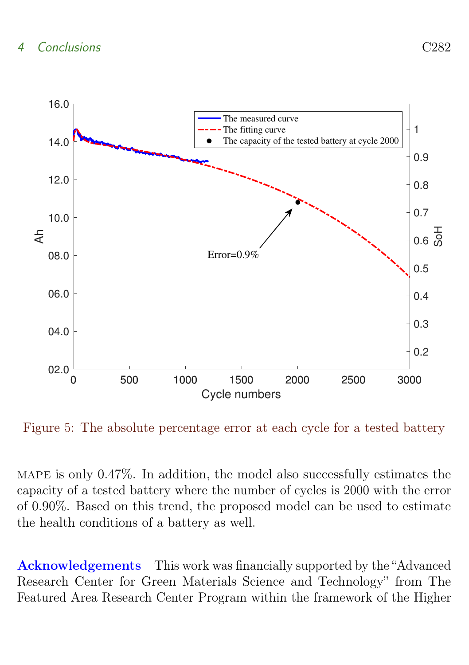

<span id="page-12-0"></span>Figure 5: The absolute percentage error at each cycle for a tested battery

MAPE is only  $0.47\%$ . In addition, the model also successfully estimates the capacity of a tested battery where the number of cycles is 2000 with the error of 0.90%. Based on this trend, the proposed model can be used to estimate the health conditions of a battery as well.

Acknowledgements This work was financially supported by the "Advanced Research Center for Green Materials Science and Technology" from The Featured Area Research Center Program within the framework of the Higher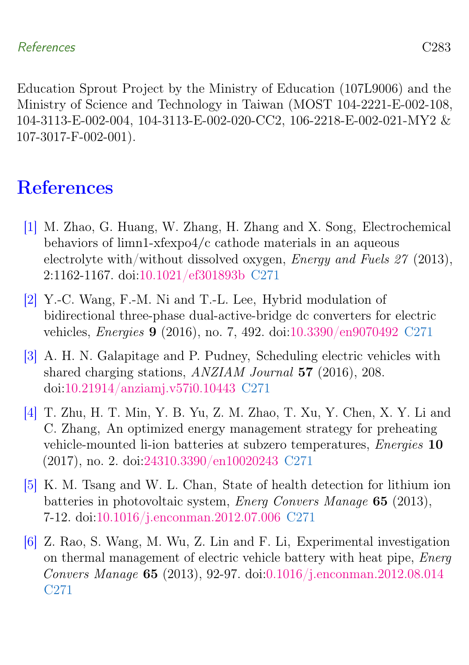Education Sprout Project by the Ministry of Education (107L9006) and the Ministry of Science and Technology in Taiwan (MOST 104-2221-E-002-108, 104-3113-E-002-004, 104-3113-E-002-020-CC2, 106-2218-E-002-021-MY2 & 107-3017-F-002-001).

# **References**

- <span id="page-13-0"></span>[1] M. Zhao, G. Huang, W. Zhang, H. Zhang and X. Song, Electrochemical behaviors of limn1-xfexpo4/c cathode materials in an aqueous electrolyte with/without dissolved oxygen, Energy and Fuels 27 (2013), 2:1162-1167. doi[:10.1021/ef301893b](https://doi.org/10.1021/ef301893b) [C271](#page-1-0)
- <span id="page-13-1"></span>[2] Y.-C. Wang, F.-M. Ni and T.-L. Lee, Hybrid modulation of bidirectional three-phase dual-active-bridge dc converters for electric vehicles, Energies 9 (2016), no. 7, 492. doi[:10.3390/en9070492](https://doi.org/10.3390/en9070492) [C271](#page-1-0)
- <span id="page-13-2"></span>[3] A. H. N. Galapitage and P. Pudney, Scheduling electric vehicles with shared charging stations, ANZIAM Journal 57 (2016), 208. doi[:10.21914/anziamj.v57i0.10443](https://doi.org/10.21914/anziamj.v57i0.10443) [C271](#page-1-0)
- <span id="page-13-3"></span>[4] T. Zhu, H. T. Min, Y. B. Yu, Z. M. Zhao, T. Xu, Y. Chen, X. Y. Li and C. Zhang, An optimized energy management strategy for preheating vehicle-mounted li-ion batteries at subzero temperatures, Energies 10 (2017), no. 2. doi[:24310.3390/en10020243](https://doi.org/24310.3390/en10020243) [C271](#page-1-0)
- <span id="page-13-4"></span>[5] K. M. Tsang and W. L. Chan, State of health detection for lithium ion batteries in photovoltaic system, Energ Convers Manage 65 (2013), 7-12. doi[:10.1016/j.enconman.2012.07.006](https://doi.org/10.1016/j.enconman.2012.07.006) [C271](#page-1-0)
- <span id="page-13-5"></span>[6] Z. Rao, S. Wang, M. Wu, Z. Lin and F. Li, Experimental investigation on thermal management of electric vehicle battery with heat pipe, Energ Convers Manage 65 (2013), 92-97. doi[:0.1016/j.enconman.2012.08.014](https://doi.org/0.1016/j.enconman.2012.08.014) [C271](#page-1-0)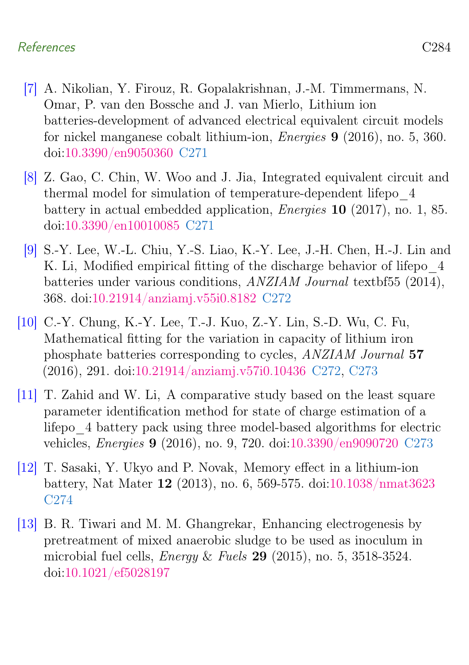### References C284

- <span id="page-14-0"></span>[7] A. Nikolian, Y. Firouz, R. Gopalakrishnan, J.-M. Timmermans, N. Omar, P. van den Bossche and J. van Mierlo, Lithium ion batteries-development of advanced electrical equivalent circuit models for nickel manganese cobalt lithium-ion, Energies 9 (2016), no. 5, 360. doi[:10.3390/en9050360](https://doi.org/10.3390/en9050360) [C271](#page-1-0)
- <span id="page-14-1"></span>[8] Z. Gao, C. Chin, W. Woo and J. Jia, Integrated equivalent circuit and thermal model for simulation of temperature-dependent lifepo\_4 battery in actual embedded application, Energies 10 (2017), no. 1, 85. doi[:10.3390/en10010085](https://doi.org/10.3390/en10010085) [C271](#page-1-0)
- <span id="page-14-2"></span>[9] S.-Y. Lee, W.-L. Chiu, Y.-S. Liao, K.-Y. Lee, J.-H. Chen, H.-J. Lin and K. Li, Modified empirical fitting of the discharge behavior of lifepo  $4$ batteries under various conditions, ANZIAM Journal textbf55 (2014), 368. doi[:10.21914/anziamj.v55i0.8182](https://doi.org/10.21914/anziamj.v55i0.8182) [C272](#page-2-0)
- <span id="page-14-3"></span>[10] C.-Y. Chung, K.-Y. Lee, T.-J. Kuo, Z.-Y. Lin, S.-D. Wu, C. Fu, Mathematical fitting for the variation in capacity of lithium iron phosphate batteries corresponding to cycles, ANZIAM Journal 57 (2016), 291. doi[:10.21914/anziamj.v57i0.10436](https://doi.org/10.21914/anziamj.v57i0.10436) [C272,](#page-2-0) [C273](#page-3-1)
- <span id="page-14-4"></span>[11] T. Zahid and W. Li, A comparative study based on the least square parameter identification method for state of charge estimation of a lifepo\_4 battery pack using three model-based algorithms for electric vehicles, Energies 9 (2016), no. 9, 720. doi[:10.3390/en9090720](https://doi.org/10.3390/en9090720) [C273](#page-3-1)
- <span id="page-14-5"></span>[12] T. Sasaki, Y. Ukyo and P. Novak, Memory effect in a lithium-ion battery, Nat Mater 12 (2013), no. 6, 569-575. doi[:10.1038/nmat3623](https://doi.org/10.1038/nmat3623) [C274](#page-4-0)
- <span id="page-14-6"></span>[13] B. R. Tiwari and M. M. Ghangrekar, Enhancing electrogenesis by pretreatment of mixed anaerobic sludge to be used as inoculum in microbial fuel cells, *Energy & Fuels* 29 (2015), no. 5, 3518-3524. doi[:10.1021/ef5028197](https://doi.org/10.1021/ef5028197)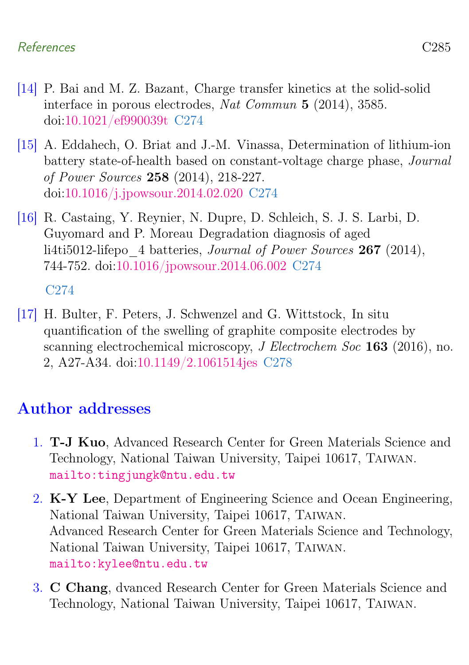## References C285

- <span id="page-15-3"></span>[14] P. Bai and M. Z. Bazant, Charge transfer kinetics at the solid-solid interface in porous electrodes, Nat Commun 5 (2014), 3585. doi[:10.1021/ef990039t](https://doi.org/10.1021/ef990039t) [C274](#page-4-0)
- <span id="page-15-4"></span>[15] A. Eddahech, O. Briat and J.-M. Vinassa, Determination of lithium-ion battery state-of-health based on constant-voltage charge phase, Journal of Power Sources 258 (2014), 218-227. doi[:10.1016/j.jpowsour.2014.02.020](https://doi.org/10.1016/j.jpowsour.2014.02.020) [C274](#page-4-0)
- <span id="page-15-5"></span>[16] R. Castaing, Y. Reynier, N. Dupre, D. Schleich, S. J. S. Larbi, D. Guyomard and P. Moreau Degradation diagnosis of aged li4ti5012-lifepo 4 batteries, Journal of Power Sources 267 (2014), 744-752. doi[:10.1016/jpowsour.2014.06.002](https://doi.org/10.1016/jpowsour.2014.06.002) [C274](#page-4-0)

[C274](#page-4-0)

<span id="page-15-6"></span>[17] H. Bulter, F. Peters, J. Schwenzel and G. Wittstock, In situ quantification of the swelling of graphite composite electrodes by scanning electrochemical microscopy, *J Electrochem Soc* **163** (2016), no. 2, A27-A34. doi[:10.1149/2.1061514jes](https://doi.org/10.1149/2.1061514jes) [C278](#page-8-1)

## Author addresses

- <span id="page-15-1"></span>1. T-J Kuo, Advanced Research Center for Green Materials Science and Technology, National Taiwan University, Taipei 10617, Taiwan. <mailto:tingjungk@ntu.edu.tw>
- <span id="page-15-2"></span>2. K-Y Lee, Department of Engineering Science and Ocean Engineering, National Taiwan University, Taipei 10617, Taiwan. Advanced Research Center for Green Materials Science and Technology, National Taiwan University, Taipei 10617, Taiwan. <mailto:kylee@ntu.edu.tw>
- <span id="page-15-0"></span>3. C Chang, dvanced Research Center for Green Materials Science and Technology, National Taiwan University, Taipei 10617, Taiwan.